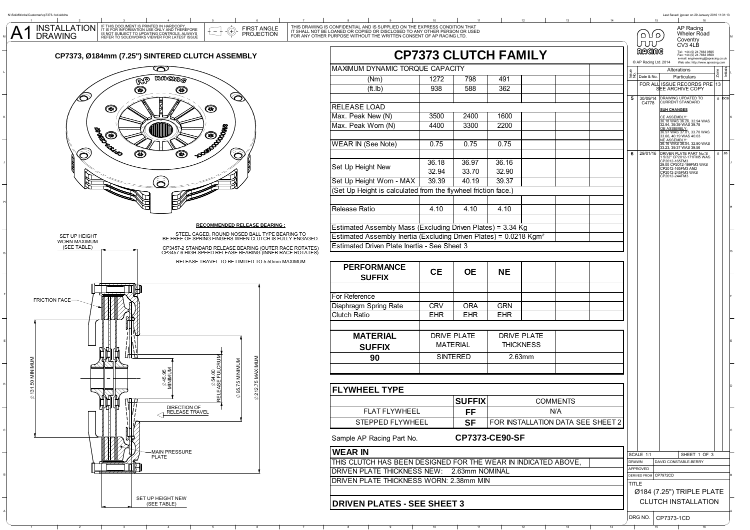

SET UP HEIGHT NEW(SEE TABLE)

A

| ONFIDENTIAL AND IS SUPPLIED ON THE EXPRESS CONDITION THAT<br>DANED OR COPIED OR DISCLOSED TO ANY OTHER PERSON OR USED<br>JRPOSE WITHOUT THE WRITTEN CONSENT OF AP RACING LTD. |                                    |                                         |                                  |  |  |  |              | َ ص∫ا ہ<br>ллл        | AP Racing<br>Wheler Road<br>Coventry                                                                    |         |          |  |
|-------------------------------------------------------------------------------------------------------------------------------------------------------------------------------|------------------------------------|-----------------------------------------|----------------------------------|--|--|--|--------------|-----------------------|---------------------------------------------------------------------------------------------------------|---------|----------|--|
|                                                                                                                                                                               | <b>CP7373 CLUTCH FAMILY</b>        |                                         |                                  |  |  |  |              | ඩයගාල                 | CV3 4LB<br>Tel: +44 (0) 24 7663 9595<br>Fax: +44 (0) 24 7663 9559<br>e-mail: engineering@apracing.co.uk |         |          |  |
|                                                                                                                                                                               |                                    |                                         |                                  |  |  |  |              | C AP Racing Ltd. 2014 | Web site: http://www.apracing.com                                                                       |         |          |  |
| MAXIMUM DYNAMIC TORQUE CAPACITY                                                                                                                                               |                                    |                                         |                                  |  |  |  | Issue<br>No. | Date & No.            | Alterations<br>Particulars                                                                              | Zone    | Initials |  |
| (Nm)                                                                                                                                                                          | 1272                               | 798                                     | 491                              |  |  |  |              |                       | FOR ALL ISSUE RECORDS PRE 13                                                                            |         |          |  |
| (ft.lb)                                                                                                                                                                       | 938                                | 588                                     | 362                              |  |  |  |              |                       | <b>SEE ARCHIVE COPY</b>                                                                                 |         |          |  |
| RELEASE LOAD                                                                                                                                                                  |                                    |                                         |                                  |  |  |  | 5            | 30/09/14<br>C4778     | DRAWING UPDATED TO                                                                                      | $#$ DCB |          |  |
| Max. Peak New (N)                                                                                                                                                             | 3500                               | 2400                                    | 1600                             |  |  |  |              |                       | <b>SUH CHANGES</b>                                                                                      |         |          |  |
|                                                                                                                                                                               | 4400                               | 3300                                    | 2200                             |  |  |  |              |                       | CE ASSEMBLY:<br>36.18 WAS 36.26, 32.94 WAS<br>32.94, 39.39 WAS 39.78                                    |         |          |  |
| Max. Peak Worn (N)                                                                                                                                                            |                                    |                                         |                                  |  |  |  |              |                       | <b>OE ASSEMBLY</b><br>36.97 WAS 37.01, 33.70 WAS                                                        |         |          |  |
| <b>WEAR IN (See Note)</b>                                                                                                                                                     | 0.75                               | 0.75                                    | 0.75                             |  |  |  |              |                       | 33.66, 40.19 WAS 40.03<br>NE ASSEMBLY: 36.16 WAS                                                        |         |          |  |
|                                                                                                                                                                               |                                    |                                         |                                  |  |  |  |              |                       | 33.23, 39.37 WAS 39.56                                                                                  |         |          |  |
|                                                                                                                                                                               | 36.18                              | 36.97                                   | 36.16                            |  |  |  | 6            | 29/01/16              | DRIVEN PLATE PART No.'S<br>1 5/32" CP2012-171FM5 WAS<br>CP2012-165FM3                                   | $#$ JG  |          |  |
| Set Up Height New                                                                                                                                                             |                                    |                                         |                                  |  |  |  |              |                       | 29.00 CP2012-199FM3 WAS<br>CP2012-165FM3 AND                                                            |         |          |  |
| Set Up Height Worn - MAX                                                                                                                                                      | 32.94<br>39.39                     | 33.70<br>40.19                          | 32.90<br>39.37                   |  |  |  |              |                       | CP2012-245FM3 WAS<br>CP2012-244FM3                                                                      |         |          |  |
|                                                                                                                                                                               |                                    |                                         |                                  |  |  |  |              |                       |                                                                                                         |         |          |  |
| (Set Up Height is calculated from the flywheel friction face.)                                                                                                                |                                    |                                         |                                  |  |  |  |              |                       |                                                                                                         |         |          |  |
| Release Ratio                                                                                                                                                                 | 4.10                               | 4.10                                    | 4.10                             |  |  |  |              |                       |                                                                                                         |         |          |  |
|                                                                                                                                                                               |                                    |                                         |                                  |  |  |  |              |                       |                                                                                                         |         |          |  |
|                                                                                                                                                                               |                                    |                                         |                                  |  |  |  |              |                       |                                                                                                         |         |          |  |
| Estimated Assembly Mass (Excluding Driven Plates) = 3.34 Kg                                                                                                                   |                                    |                                         |                                  |  |  |  |              |                       |                                                                                                         |         |          |  |
| Estimated Assembly Inertia (Excluding Driven Plates) = 0.0218 Kgm <sup>2</sup>                                                                                                |                                    |                                         |                                  |  |  |  |              |                       |                                                                                                         |         |          |  |
| Estimated Driven Plate Inertia - See Sheet 3                                                                                                                                  |                                    |                                         |                                  |  |  |  |              |                       |                                                                                                         |         |          |  |
|                                                                                                                                                                               |                                    |                                         |                                  |  |  |  |              |                       |                                                                                                         |         |          |  |
| <b>PERFORMANCE</b>                                                                                                                                                            | <b>CE</b>                          | <b>OE</b>                               | NΕ                               |  |  |  |              |                       |                                                                                                         |         |          |  |
| <b>SUFFIX</b>                                                                                                                                                                 |                                    |                                         |                                  |  |  |  |              |                       |                                                                                                         |         |          |  |
|                                                                                                                                                                               |                                    |                                         |                                  |  |  |  |              |                       |                                                                                                         |         |          |  |
| For Reference                                                                                                                                                                 |                                    |                                         |                                  |  |  |  |              |                       |                                                                                                         |         |          |  |
| Diaphragm Spring Rate                                                                                                                                                         | <b>CRV</b>                         | <b>ORA</b>                              | <b>GRN</b>                       |  |  |  |              |                       |                                                                                                         |         |          |  |
| Clutch Ratio                                                                                                                                                                  | <b>EHR</b>                         | <b>EHR</b>                              | <b>EHR</b>                       |  |  |  |              |                       |                                                                                                         |         |          |  |
|                                                                                                                                                                               |                                    |                                         |                                  |  |  |  |              |                       |                                                                                                         |         |          |  |
| <b>MATERIAL</b>                                                                                                                                                               | <b>DRIVE PLATE</b>                 |                                         | <b>DRIVE PLATE</b>               |  |  |  |              |                       |                                                                                                         |         |          |  |
| <b>SUFFIX</b>                                                                                                                                                                 | <b>MATERIAL</b><br><b>SINTERED</b> |                                         | <b>THICKNESS</b><br>2.63mm       |  |  |  |              |                       |                                                                                                         |         |          |  |
| 90                                                                                                                                                                            |                                    |                                         |                                  |  |  |  |              |                       |                                                                                                         |         |          |  |
|                                                                                                                                                                               |                                    |                                         |                                  |  |  |  |              |                       |                                                                                                         |         |          |  |
|                                                                                                                                                                               |                                    |                                         |                                  |  |  |  |              |                       |                                                                                                         |         |          |  |
|                                                                                                                                                                               |                                    |                                         |                                  |  |  |  |              |                       |                                                                                                         |         |          |  |
| <b>FLYWHEEL TYPE</b>                                                                                                                                                          |                                    |                                         |                                  |  |  |  |              |                       |                                                                                                         |         |          |  |
|                                                                                                                                                                               |                                    |                                         | <b>SUFFIX</b><br><b>COMMENTS</b> |  |  |  |              |                       |                                                                                                         |         |          |  |
| <b>FLAT FLYWHEEL</b>                                                                                                                                                          |                                    |                                         | N/A<br>FF                        |  |  |  |              |                       |                                                                                                         |         |          |  |
| STEPPED FLYWHEEL                                                                                                                                                              |                                    | SF<br>FOR INSTALLATION DATA SEE SHEET 2 |                                  |  |  |  |              |                       |                                                                                                         |         |          |  |
|                                                                                                                                                                               |                                    |                                         |                                  |  |  |  |              |                       |                                                                                                         |         |          |  |
| Sample AP Racing Part No.                                                                                                                                                     |                                    |                                         | <b>CP7373-CE90-SF</b>            |  |  |  |              |                       |                                                                                                         |         |          |  |
| <b>WEAR IN</b>                                                                                                                                                                |                                    |                                         |                                  |  |  |  |              | SCALE 1:1             | SHEET 1 OF 3                                                                                            |         |          |  |
| THIS CLUTCH HAS BEEN DESIGNED FOR THE WEAR IN INDICATED ABOVE.                                                                                                                |                                    |                                         |                                  |  |  |  | <b>DRAWN</b> |                       | DAVID CONSTABLE-BERRY                                                                                   |         |          |  |
| DRIVEN PLATE THICKNESS NEW:<br>2.63mm NOMINAL                                                                                                                                 |                                    |                                         |                                  |  |  |  |              | APPROVED              |                                                                                                         |         |          |  |
| DRIVEN PLATE THICKNESS WORN: 2.38mm MIN                                                                                                                                       |                                    |                                         |                                  |  |  |  | TITLE        | DERIVED FROM          | CP7972CD                                                                                                |         |          |  |
|                                                                                                                                                                               |                                    |                                         |                                  |  |  |  |              |                       | Ø184 (7.25") TRIPLE PLATE                                                                               |         |          |  |
| <b>DRIVEN PLATES - SEE SHEET 3</b>                                                                                                                                            |                                    |                                         |                                  |  |  |  |              |                       | <b>CLUTCH INSTALLATION</b>                                                                              |         |          |  |
|                                                                                                                                                                               |                                    |                                         |                                  |  |  |  |              |                       |                                                                                                         |         |          |  |

8 9 10

1 2 3 4 5 6 7 8 9 10 11 12 13

14 15 16 16

Last Saved: jgovan on 29 January 2016 11:31:13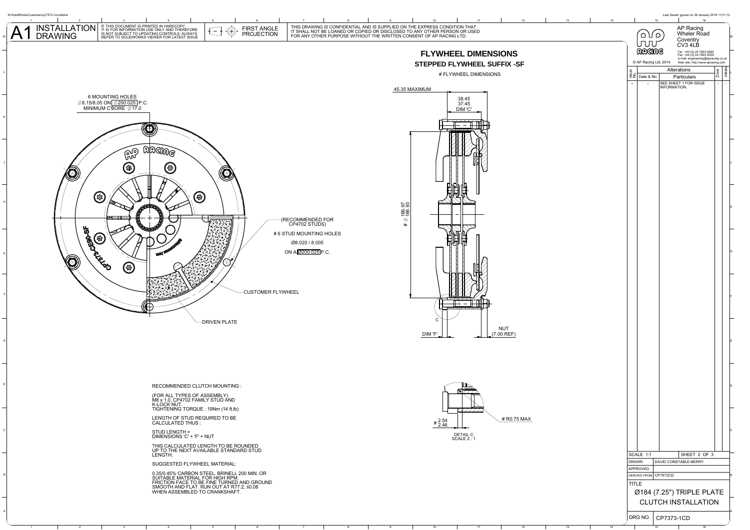